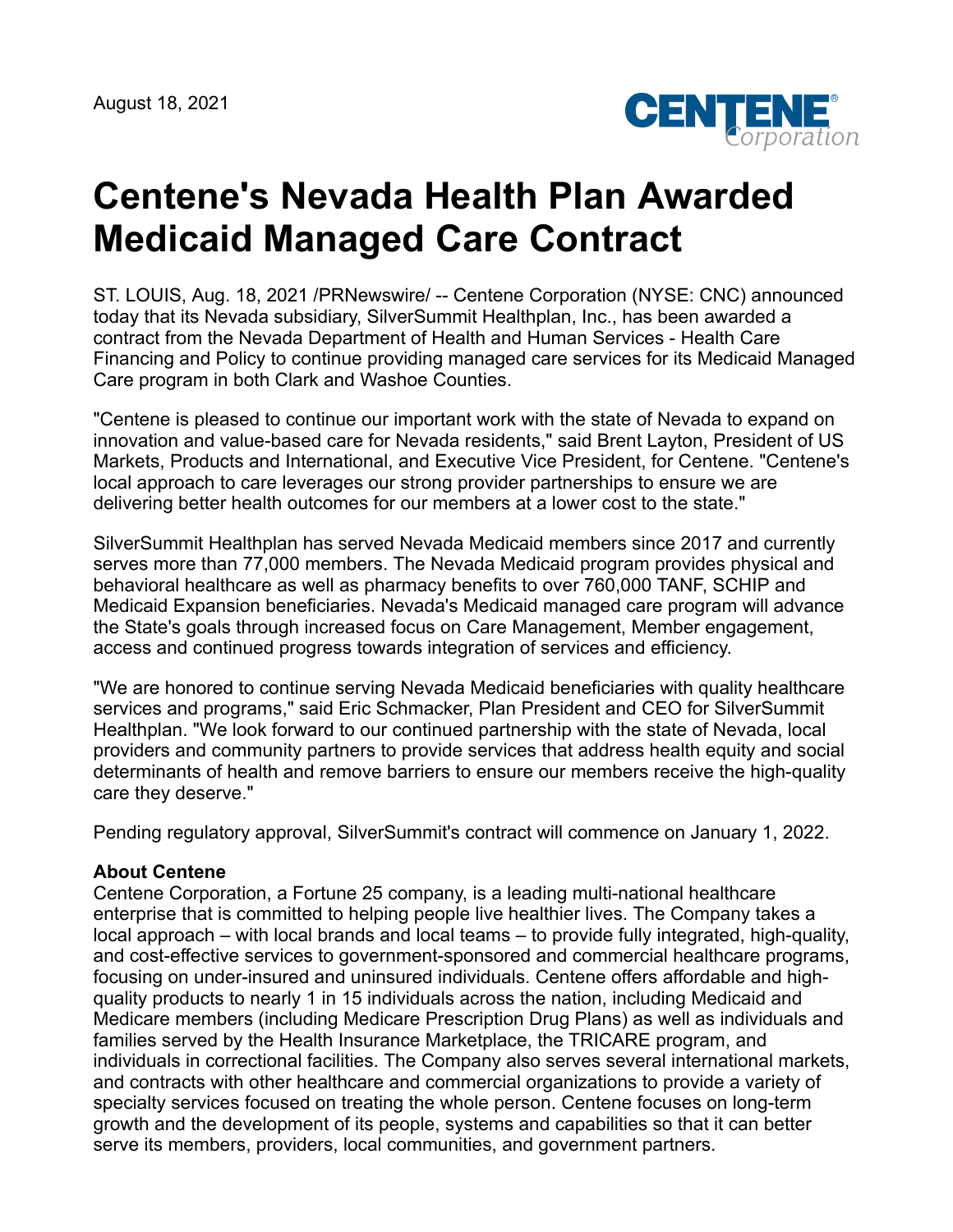August 18, 2021



## **Centene's Nevada Health Plan Awarded Medicaid Managed Care Contract**

ST. LOUIS, Aug. 18, 2021 /PRNewswire/ -- Centene Corporation (NYSE: CNC) announced today that its Nevada subsidiary, SilverSummit Healthplan, Inc., has been awarded a contract from the Nevada Department of Health and Human Services - Health Care Financing and Policy to continue providing managed care services for its Medicaid Managed Care program in both Clark and Washoe Counties.

"Centene is pleased to continue our important work with the state of Nevada to expand on innovation and value-based care for Nevada residents," said Brent Layton, President of US Markets, Products and International, and Executive Vice President, for Centene. "Centene's local approach to care leverages our strong provider partnerships to ensure we are delivering better health outcomes for our members at a lower cost to the state."

SilverSummit Healthplan has served Nevada Medicaid members since 2017 and currently serves more than 77,000 members. The Nevada Medicaid program provides physical and behavioral healthcare as well as pharmacy benefits to over 760,000 TANF, SCHIP and Medicaid Expansion beneficiaries. Nevada's Medicaid managed care program will advance the State's goals through increased focus on Care Management, Member engagement, access and continued progress towards integration of services and efficiency.

"We are honored to continue serving Nevada Medicaid beneficiaries with quality healthcare services and programs," said Eric Schmacker, Plan President and CEO for SilverSummit Healthplan. "We look forward to our continued partnership with the state of Nevada, local providers and community partners to provide services that address health equity and social determinants of health and remove barriers to ensure our members receive the high-quality care they deserve."

Pending regulatory approval, SilverSummit's contract will commence on January 1, 2022.

## **About Centene**

Centene Corporation, a Fortune 25 company, is a leading multi-national healthcare enterprise that is committed to helping people live healthier lives. The Company takes a local approach – with local brands and local teams – to provide fully integrated, high-quality, and cost-effective services to government-sponsored and commercial healthcare programs, focusing on under-insured and uninsured individuals. Centene offers affordable and highquality products to nearly 1 in 15 individuals across the nation, including Medicaid and Medicare members (including Medicare Prescription Drug Plans) as well as individuals and families served by the Health Insurance Marketplace, the TRICARE program, and individuals in correctional facilities. The Company also serves several international markets, and contracts with other healthcare and commercial organizations to provide a variety of specialty services focused on treating the whole person. Centene focuses on long-term growth and the development of its people, systems and capabilities so that it can better serve its members, providers, local communities, and government partners.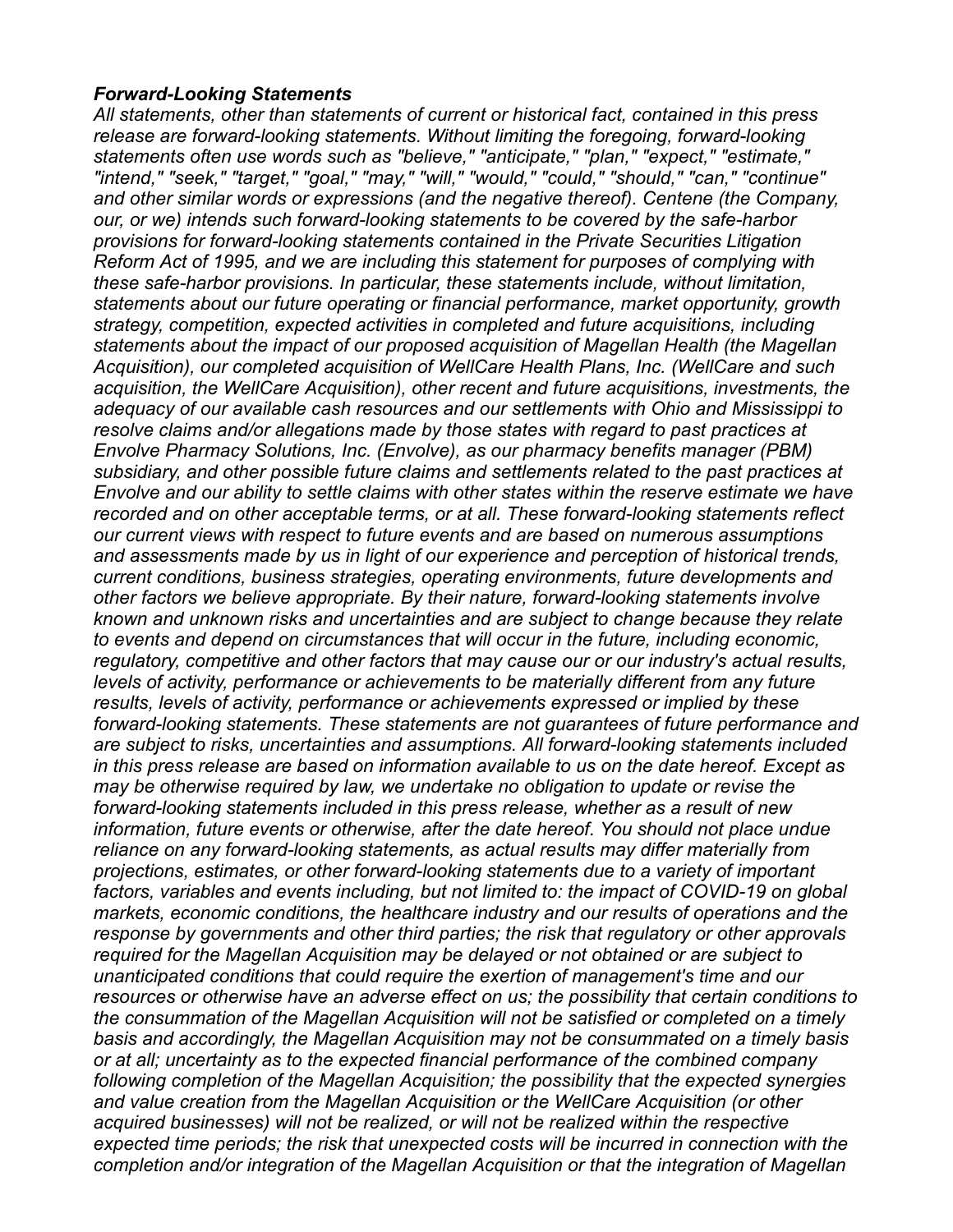## *Forward-Looking Statements*

*All statements, other than statements of current or historical fact, contained in this press release are forward-looking statements. Without limiting the foregoing, forward-looking statements often use words such as "believe," "anticipate," "plan," "expect," "estimate," "intend," "seek," "target," "goal," "may," "will," "would," "could," "should," "can," "continue" and other similar words or expressions (and the negative thereof). Centene (the Company, our, or we) intends such forward-looking statements to be covered by the safe-harbor provisions for forward-looking statements contained in the Private Securities Litigation Reform Act of 1995, and we are including this statement for purposes of complying with these safe-harbor provisions. In particular, these statements include, without limitation, statements about our future operating or financial performance, market opportunity, growth strategy, competition, expected activities in completed and future acquisitions, including statements about the impact of our proposed acquisition of Magellan Health (the Magellan Acquisition), our completed acquisition of WellCare Health Plans, Inc. (WellCare and such acquisition, the WellCare Acquisition), other recent and future acquisitions, investments, the adequacy of our available cash resources and our settlements with Ohio and Mississippi to resolve claims and/or allegations made by those states with regard to past practices at Envolve Pharmacy Solutions, Inc. (Envolve), as our pharmacy benefits manager (PBM) subsidiary, and other possible future claims and settlements related to the past practices at Envolve and our ability to settle claims with other states within the reserve estimate we have recorded and on other acceptable terms, or at all. These forward-looking statements reflect our current views with respect to future events and are based on numerous assumptions and assessments made by us in light of our experience and perception of historical trends, current conditions, business strategies, operating environments, future developments and other factors we believe appropriate. By their nature, forward-looking statements involve known and unknown risks and uncertainties and are subject to change because they relate to events and depend on circumstances that will occur in the future, including economic, regulatory, competitive and other factors that may cause our or our industry's actual results, levels of activity, performance or achievements to be materially different from any future results, levels of activity, performance or achievements expressed or implied by these forward-looking statements. These statements are not guarantees of future performance and are subject to risks, uncertainties and assumptions. All forward-looking statements included in this press release are based on information available to us on the date hereof. Except as may be otherwise required by law, we undertake no obligation to update or revise the forward-looking statements included in this press release, whether as a result of new information, future events or otherwise, after the date hereof. You should not place undue reliance on any forward-looking statements, as actual results may differ materially from projections, estimates, or other forward-looking statements due to a variety of important factors, variables and events including, but not limited to: the impact of COVID-19 on global markets, economic conditions, the healthcare industry and our results of operations and the response by governments and other third parties; the risk that regulatory or other approvals required for the Magellan Acquisition may be delayed or not obtained or are subject to unanticipated conditions that could require the exertion of management's time and our resources or otherwise have an adverse effect on us; the possibility that certain conditions to the consummation of the Magellan Acquisition will not be satisfied or completed on a timely basis and accordingly, the Magellan Acquisition may not be consummated on a timely basis or at all; uncertainty as to the expected financial performance of the combined company following completion of the Magellan Acquisition; the possibility that the expected synergies and value creation from the Magellan Acquisition or the WellCare Acquisition (or other acquired businesses) will not be realized, or will not be realized within the respective expected time periods; the risk that unexpected costs will be incurred in connection with the completion and/or integration of the Magellan Acquisition or that the integration of Magellan*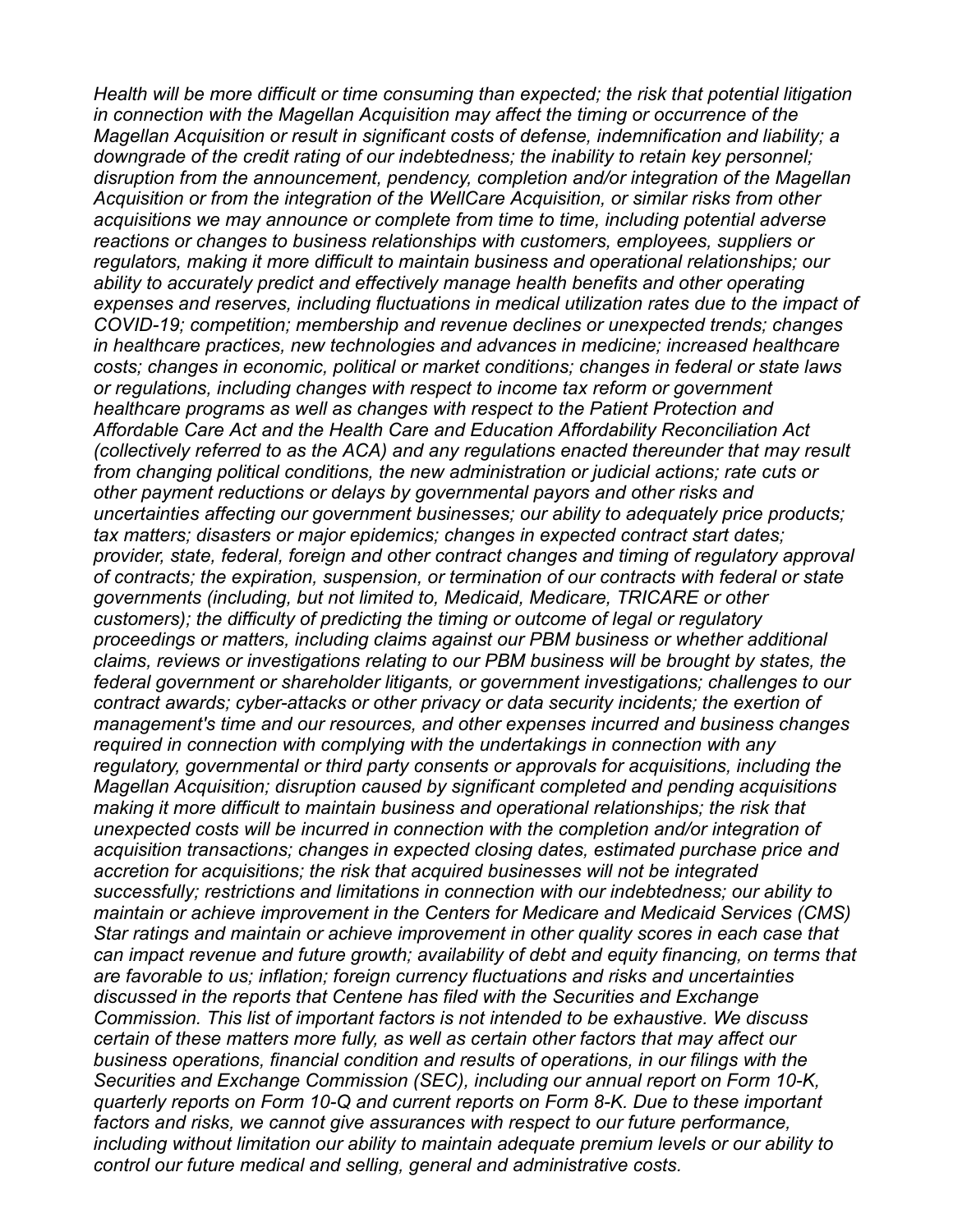*Health will be more difficult or time consuming than expected; the risk that potential litigation in connection with the Magellan Acquisition may affect the timing or occurrence of the Magellan Acquisition or result in significant costs of defense, indemnification and liability; a downgrade of the credit rating of our indebtedness; the inability to retain key personnel; disruption from the announcement, pendency, completion and/or integration of the Magellan Acquisition or from the integration of the WellCare Acquisition, or similar risks from other acquisitions we may announce or complete from time to time, including potential adverse reactions or changes to business relationships with customers, employees, suppliers or regulators, making it more difficult to maintain business and operational relationships; our ability to accurately predict and effectively manage health benefits and other operating expenses and reserves, including fluctuations in medical utilization rates due to the impact of COVID-19; competition; membership and revenue declines or unexpected trends; changes in healthcare practices, new technologies and advances in medicine; increased healthcare costs; changes in economic, political or market conditions; changes in federal or state laws or regulations, including changes with respect to income tax reform or government healthcare programs as well as changes with respect to the Patient Protection and Affordable Care Act and the Health Care and Education Affordability Reconciliation Act (collectively referred to as the ACA) and any regulations enacted thereunder that may result from changing political conditions, the new administration or judicial actions; rate cuts or other payment reductions or delays by governmental payors and other risks and uncertainties affecting our government businesses; our ability to adequately price products; tax matters; disasters or major epidemics; changes in expected contract start dates; provider, state, federal, foreign and other contract changes and timing of regulatory approval of contracts; the expiration, suspension, or termination of our contracts with federal or state governments (including, but not limited to, Medicaid, Medicare, TRICARE or other customers); the difficulty of predicting the timing or outcome of legal or regulatory proceedings or matters, including claims against our PBM business or whether additional claims, reviews or investigations relating to our PBM business will be brought by states, the federal government or shareholder litigants, or government investigations; challenges to our contract awards; cyber-attacks or other privacy or data security incidents; the exertion of management's time and our resources, and other expenses incurred and business changes required in connection with complying with the undertakings in connection with any regulatory, governmental or third party consents or approvals for acquisitions, including the Magellan Acquisition; disruption caused by significant completed and pending acquisitions making it more difficult to maintain business and operational relationships; the risk that unexpected costs will be incurred in connection with the completion and/or integration of acquisition transactions; changes in expected closing dates, estimated purchase price and accretion for acquisitions; the risk that acquired businesses will not be integrated successfully; restrictions and limitations in connection with our indebtedness; our ability to maintain or achieve improvement in the Centers for Medicare and Medicaid Services (CMS) Star ratings and maintain or achieve improvement in other quality scores in each case that can impact revenue and future growth; availability of debt and equity financing, on terms that are favorable to us; inflation; foreign currency fluctuations and risks and uncertainties discussed in the reports that Centene has filed with the Securities and Exchange Commission. This list of important factors is not intended to be exhaustive. We discuss certain of these matters more fully, as well as certain other factors that may affect our business operations, financial condition and results of operations, in our filings with the Securities and Exchange Commission (SEC), including our annual report on Form 10-K, quarterly reports on Form 10-Q and current reports on Form 8-K. Due to these important factors and risks, we cannot give assurances with respect to our future performance, including without limitation our ability to maintain adequate premium levels or our ability to control our future medical and selling, general and administrative costs.*